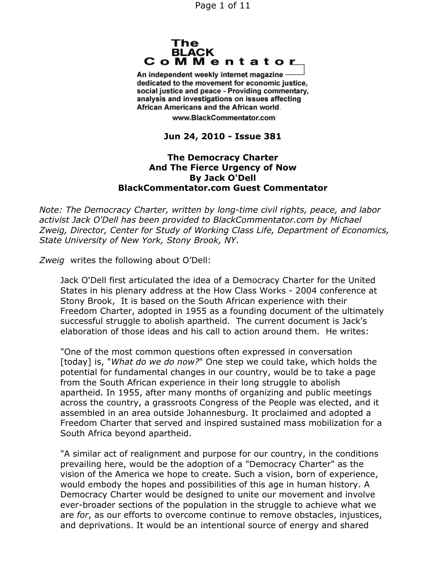Page 1 of 11



An independent weekly internet magazine dedicated to the movement for economic justice. social justice and peace - Providing commentary, analysis and investigations on issues affecting African Americans and the African world.

www.BlackCommentator.com

**Jun 24, 2010 - Issue 381**

### **The Democracy Charter And The Fierce Urgency of Now By Jack O'Dell BlackCommentator.com Guest Commentator**

*Note: The Democracy Charter, written by long-time civil rights, peace, and labor activist Jack O'Dell has been provided to BlackCommentator.com by Michael Zweig, Director, Center for Study of Working Class Life, Department of Economics, State University of New York, Stony Brook, NY*.

*Zweig* writes the following about O'Dell:

Jack O'Dell first articulated the idea of a Democracy Charter for the United States in his plenary address at the How Class Works - 2004 conference at Stony Brook, It is based on the South African experience with their Freedom Charter, adopted in 1955 as a founding document of the ultimately successful struggle to abolish apartheid. The current document is Jack's elaboration of those ideas and his call to action around them. He writes:

"One of the most common questions often expressed in conversation [today] is, "*What do we do now?*" One step we could take, which holds the potential for fundamental changes in our country, would be to take a page from the South African experience in their long struggle to abolish apartheid. In 1955, after many months of organizing and public meetings across the country, a grassroots Congress of the People was elected, and it assembled in an area outside Johannesburg. It proclaimed and adopted a Freedom Charter that served and inspired sustained mass mobilization for a South Africa beyond apartheid.

"A similar act of realignment and purpose for our country, in the conditions prevailing here, would be the adoption of a "Democracy Charter" as the vision of the America we hope to create. Such a vision, born of experience, would embody the hopes and possibilities of this age in human history. A Democracy Charter would be designed to unite our movement and involve ever-broader sections of the population in the struggle to achieve what we are *for*, as our efforts to overcome continue to remove obstacles, injustices, and deprivations. It would be an intentional source of energy and shared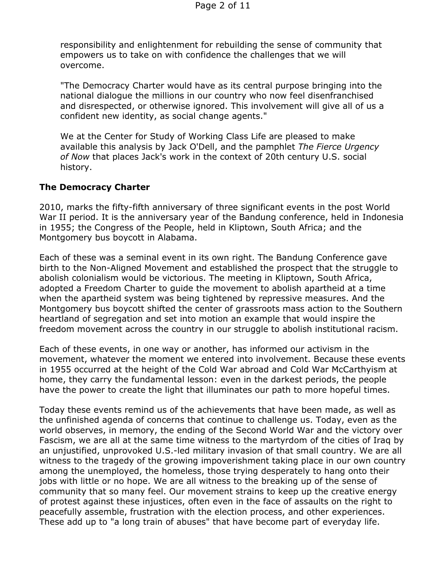responsibility and enlightenment for rebuilding the sense of community that empowers us to take on with confidence the challenges that we will overcome.

"The Democracy Charter would have as its central purpose bringing into the national dialogue the millions in our country who now feel disenfranchised and disrespected, or otherwise ignored. This involvement will give all of us a confident new identity, as social change agents."

We at the Center for Study of Working Class Life are pleased to make available this analysis by Jack O'Dell, and the pamphlet *The Fierce Urgency of Now* that places Jack's work in the context of 20th century U.S. social history.

### **The Democracy Charter**

2010, marks the fifty-fifth anniversary of three significant events in the post World War II period. It is the anniversary year of the Bandung conference, held in Indonesia in 1955; the Congress of the People, held in Kliptown, South Africa; and the Montgomery bus boycott in Alabama.

Each of these was a seminal event in its own right. The Bandung Conference gave birth to the Non-Aligned Movement and established the prospect that the struggle to abolish colonialism would be victorious. The meeting in Kliptown, South Africa, adopted a Freedom Charter to guide the movement to abolish apartheid at a time when the apartheid system was being tightened by repressive measures. And the Montgomery bus boycott shifted the center of grassroots mass action to the Southern heartland of segregation and set into motion an example that would inspire the freedom movement across the country in our struggle to abolish institutional racism.

Each of these events, in one way or another, has informed our activism in the movement, whatever the moment we entered into involvement. Because these events in 1955 occurred at the height of the Cold War abroad and Cold War McCarthyism at home, they carry the fundamental lesson: even in the darkest periods, the people have the power to create the light that illuminates our path to more hopeful times.

Today these events remind us of the achievements that have been made, as well as the unfinished agenda of concerns that continue to challenge us. Today, even as the world observes, in memory, the ending of the Second World War and the victory over Fascism, we are all at the same time witness to the martyrdom of the cities of Iraq by an unjustified, unprovoked U.S.-led military invasion of that small country. We are all witness to the tragedy of the growing impoverishment taking place in our own country among the unemployed, the homeless, those trying desperately to hang onto their jobs with little or no hope. We are all witness to the breaking up of the sense of community that so many feel. Our movement strains to keep up the creative energy of protest against these injustices, often even in the face of assaults on the right to peacefully assemble, frustration with the election process, and other experiences. These add up to "a long train of abuses" that have become part of everyday life.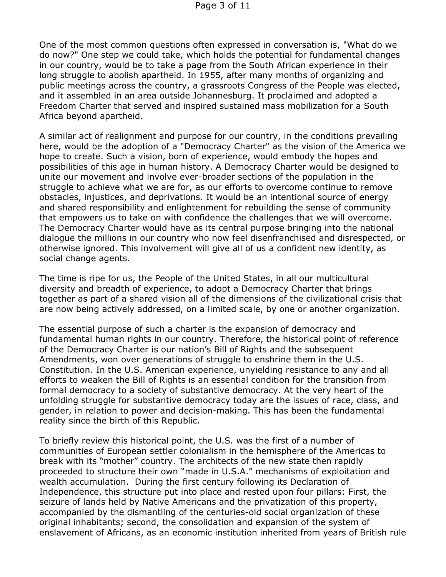One of the most common questions often expressed in conversation is, "What do we do now?" One step we could take, which holds the potential for fundamental changes in our country, would be to take a page from the South African experience in their long struggle to abolish apartheid. In 1955, after many months of organizing and public meetings across the country, a grassroots Congress of the People was elected, and it assembled in an area outside Johannesburg. It proclaimed and adopted a Freedom Charter that served and inspired sustained mass mobilization for a South Africa beyond apartheid.

A similar act of realignment and purpose for our country, in the conditions prevailing here, would be the adoption of a "Democracy Charter" as the vision of the America we hope to create. Such a vision, born of experience, would embody the hopes and possibilities of this age in human history. A Democracy Charter would be designed to unite our movement and involve ever-broader sections of the population in the struggle to achieve what we are for, as our efforts to overcome continue to remove obstacles, injustices, and deprivations. It would be an intentional source of energy and shared responsibility and enlightenment for rebuilding the sense of community that empowers us to take on with confidence the challenges that we will overcome. The Democracy Charter would have as its central purpose bringing into the national dialogue the millions in our country who now feel disenfranchised and disrespected, or otherwise ignored. This involvement will give all of us a confident new identity, as social change agents.

The time is ripe for us, the People of the United States, in all our multicultural diversity and breadth of experience, to adopt a Democracy Charter that brings together as part of a shared vision all of the dimensions of the civilizational crisis that are now being actively addressed, on a limited scale, by one or another organization.

The essential purpose of such a charter is the expansion of democracy and fundamental human rights in our country. Therefore, the historical point of reference of the Democracy Charter is our nation's Bill of Rights and the subsequent Amendments, won over generations of struggle to enshrine them in the U.S. Constitution. In the U.S. American experience, unyielding resistance to any and all efforts to weaken the Bill of Rights is an essential condition for the transition from formal democracy to a society of substantive democracy. At the very heart of the unfolding struggle for substantive democracy today are the issues of race, class, and gender, in relation to power and decision-making. This has been the fundamental reality since the birth of this Republic.

To briefly review this historical point, the U.S. was the first of a number of communities of European settler colonialism in the hemisphere of the Americas to break with its "mother" country. The architects of the new state then rapidly proceeded to structure their own "made in U.S.A." mechanisms of exploitation and wealth accumulation. During the first century following its Declaration of Independence, this structure put into place and rested upon four pillars: First, the seizure of lands held by Native Americans and the privatization of this property, accompanied by the dismantling of the centuries-old social organization of these original inhabitants; second, the consolidation and expansion of the system of enslavement of Africans, as an economic institution inherited from years of British rule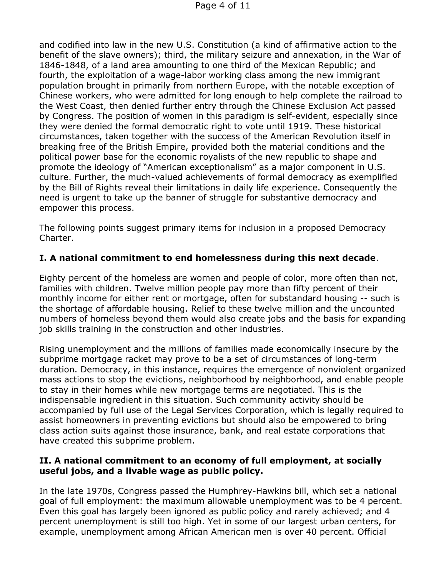and codified into law in the new U.S. Constitution (a kind of affirmative action to the benefit of the slave owners); third, the military seizure and annexation, in the War of 1846-1848, of a land area amounting to one third of the Mexican Republic; and fourth, the exploitation of a wage-labor working class among the new immigrant population brought in primarily from northern Europe, with the notable exception of Chinese workers, who were admitted for long enough to help complete the railroad to the West Coast, then denied further entry through the Chinese Exclusion Act passed by Congress. The position of women in this paradigm is self-evident, especially since they were denied the formal democratic right to vote until 1919. These historical circumstances, taken together with the success of the American Revolution itself in breaking free of the British Empire, provided both the material conditions and the political power base for the economic royalists of the new republic to shape and promote the ideology of "American exceptionalism" as a major component in U.S. culture. Further, the much-valued achievements of formal democracy as exemplified by the Bill of Rights reveal their limitations in daily life experience. Consequently the need is urgent to take up the banner of struggle for substantive democracy and empower this process.

The following points suggest primary items for inclusion in a proposed Democracy Charter.

# **I. A national commitment to end homelessness during this next decade**.

Eighty percent of the homeless are women and people of color, more often than not, families with children. Twelve million people pay more than fifty percent of their monthly income for either rent or mortgage, often for substandard housing -- such is the shortage of affordable housing. Relief to these twelve million and the uncounted numbers of homeless beyond them would also create jobs and the basis for expanding job skills training in the construction and other industries.

Rising unemployment and the millions of families made economically insecure by the subprime mortgage racket may prove to be a set of circumstances of long-term duration. Democracy, in this instance, requires the emergence of nonviolent organized mass actions to stop the evictions, neighborhood by neighborhood, and enable people to stay in their homes while new mortgage terms are negotiated. This is the indispensable ingredient in this situation. Such community activity should be accompanied by full use of the Legal Services Corporation, which is legally required to assist homeowners in preventing evictions but should also be empowered to bring class action suits against those insurance, bank, and real estate corporations that have created this subprime problem.

### **II. A national commitment to an economy of full employment, at socially useful jobs, and a livable wage as public policy.**

In the late 1970s, Congress passed the Humphrey-Hawkins bill, which set a national goal of full employment: the maximum allowable unemployment was to be 4 percent. Even this goal has largely been ignored as public policy and rarely achieved; and 4 percent unemployment is still too high. Yet in some of our largest urban centers, for example, unemployment among African American men is over 40 percent. Official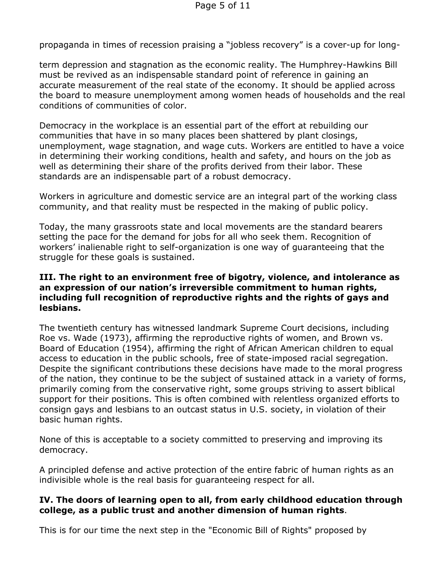propaganda in times of recession praising a "jobless recovery" is a cover-up for long-

term depression and stagnation as the economic reality. The Humphrey-Hawkins Bill must be revived as an indispensable standard point of reference in gaining an accurate measurement of the real state of the economy. It should be applied across the board to measure unemployment among women heads of households and the real conditions of communities of color.

Democracy in the workplace is an essential part of the effort at rebuilding our communities that have in so many places been shattered by plant closings, unemployment, wage stagnation, and wage cuts. Workers are entitled to have a voice in determining their working conditions, health and safety, and hours on the job as well as determining their share of the profits derived from their labor. These standards are an indispensable part of a robust democracy.

Workers in agriculture and domestic service are an integral part of the working class community, and that reality must be respected in the making of public policy.

Today, the many grassroots state and local movements are the standard bearers setting the pace for the demand for jobs for all who seek them. Recognition of workers' inalienable right to self-organization is one way of guaranteeing that the struggle for these goals is sustained.

### **III. The right to an environment free of bigotry, violence, and intolerance as an expression of our nation's irreversible commitment to human rights, including full recognition of reproductive rights and the rights of gays and lesbians.**

The twentieth century has witnessed landmark Supreme Court decisions, including Roe vs. Wade (1973), affirming the reproductive rights of women, and Brown vs. Board of Education (1954), affirming the right of African American children to equal access to education in the public schools, free of state-imposed racial segregation. Despite the significant contributions these decisions have made to the moral progress of the nation, they continue to be the subject of sustained attack in a variety of forms, primarily coming from the conservative right, some groups striving to assert biblical support for their positions. This is often combined with relentless organized efforts to consign gays and lesbians to an outcast status in U.S. society, in violation of their basic human rights.

None of this is acceptable to a society committed to preserving and improving its democracy.

A principled defense and active protection of the entire fabric of human rights as an indivisible whole is the real basis for guaranteeing respect for all.

### **IV. The doors of learning open to all, from early childhood education through college, as a public trust and another dimension of human rights**.

This is for our time the next step in the "Economic Bill of Rights" proposed by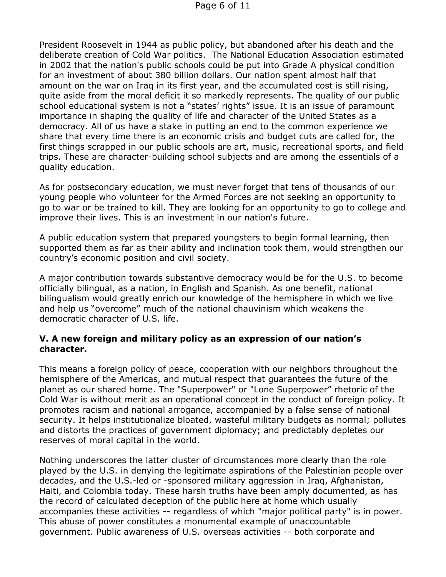President Roosevelt in 1944 as public policy, but abandoned after his death and the deliberate creation of Cold War politics. The National Education Association estimated in 2002 that the nation's public schools could be put into Grade A physical condition for an investment of about 380 billion dollars. Our nation spent almost half that amount on the war on Iraq in its first year, and the accumulated cost is still rising, quite aside from the moral deficit it so markedly represents. The quality of our public school educational system is not a "states' rights" issue. It is an issue of paramount importance in shaping the quality of life and character of the United States as a democracy. All of us have a stake in putting an end to the common experience we share that every time there is an economic crisis and budget cuts are called for, the first things scrapped in our public schools are art, music, recreational sports, and field trips. These are character-building school subjects and are among the essentials of a quality education.

As for postsecondary education, we must never forget that tens of thousands of our young people who volunteer for the Armed Forces are not seeking an opportunity to go to war or be trained to kill. They are looking for an opportunity to go to college and improve their lives. This is an investment in our nation's future.

A public education system that prepared youngsters to begin formal learning, then supported them as far as their ability and inclination took them, would strengthen our country's economic position and civil society.

A major contribution towards substantive democracy would be for the U.S. to become officially bilingual, as a nation, in English and Spanish. As one benefit, national bilingualism would greatly enrich our knowledge of the hemisphere in which we live and help us "overcome" much of the national chauvinism which weakens the democratic character of U.S. life.

## **V. A new foreign and military policy as an expression of our nation's character.**

This means a foreign policy of peace, cooperation with our neighbors throughout the hemisphere of the Americas, and mutual respect that guarantees the future of the planet as our shared home. The "Superpower" or "Lone Superpower" rhetoric of the Cold War is without merit as an operational concept in the conduct of foreign policy. It promotes racism and national arrogance, accompanied by a false sense of national security. It helps institutionalize bloated, wasteful military budgets as normal; pollutes and distorts the practices of government diplomacy; and predictably depletes our reserves of moral capital in the world.

Nothing underscores the latter cluster of circumstances more clearly than the role played by the U.S. in denying the legitimate aspirations of the Palestinian people over decades, and the U.S.-led or -sponsored military aggression in Iraq, Afghanistan, Haiti, and Colombia today. These harsh truths have been amply documented, as has the record of calculated deception of the public here at home which usually accompanies these activities -- regardless of which "major political party" is in power. This abuse of power constitutes a monumental example of unaccountable government. Public awareness of U.S. overseas activities -- both corporate and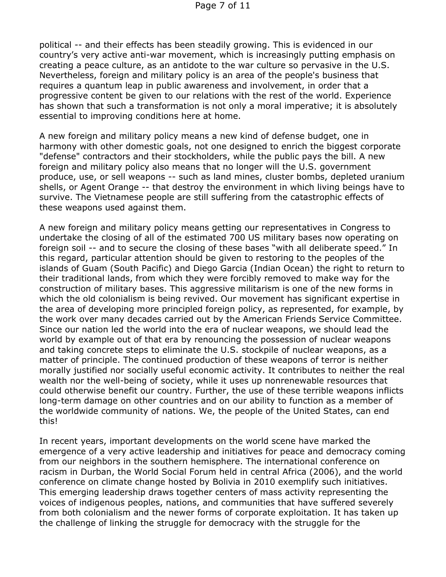political -- and their effects has been steadily growing. This is evidenced in our country's very active anti-war movement, which is increasingly putting emphasis on creating a peace culture, as an antidote to the war culture so pervasive in the U.S. Nevertheless, foreign and military policy is an area of the people's business that requires a quantum leap in public awareness and involvement, in order that a progressive content be given to our relations with the rest of the world. Experience has shown that such a transformation is not only a moral imperative; it is absolutely essential to improving conditions here at home.

A new foreign and military policy means a new kind of defense budget, one in harmony with other domestic goals, not one designed to enrich the biggest corporate "defense" contractors and their stockholders, while the public pays the bill. A new foreign and military policy also means that no longer will the U.S. government produce, use, or sell weapons -- such as land mines, cluster bombs, depleted uranium shells, or Agent Orange -- that destroy the environment in which living beings have to survive. The Vietnamese people are still suffering from the catastrophic effects of these weapons used against them.

A new foreign and military policy means getting our representatives in Congress to undertake the closing of all of the estimated 700 US military bases now operating on foreign soil -- and to secure the closing of these bases "with all deliberate speed." In this regard, particular attention should be given to restoring to the peoples of the islands of Guam (South Pacific) and Diego Garcia (Indian Ocean) the right to return to their traditional lands, from which they were forcibly removed to make way for the construction of military bases. This aggressive militarism is one of the new forms in which the old colonialism is being revived. Our movement has significant expertise in the area of developing more principled foreign policy, as represented, for example, by the work over many decades carried out by the American Friends Service Committee. Since our nation led the world into the era of nuclear weapons, we should lead the world by example out of that era by renouncing the possession of nuclear weapons and taking concrete steps to eliminate the U.S. stockpile of nuclear weapons, as a matter of principle. The continued production of these weapons of terror is neither morally justified nor socially useful economic activity. It contributes to neither the real wealth nor the well-being of society, while it uses up nonrenewable resources that could otherwise benefit our country. Further, the use of these terrible weapons inflicts long-term damage on other countries and on our ability to function as a member of the worldwide community of nations. We, the people of the United States, can end this!

In recent years, important developments on the world scene have marked the emergence of a very active leadership and initiatives for peace and democracy coming from our neighbors in the southern hemisphere. The international conference on racism in Durban, the World Social Forum held in central Africa (2006), and the world conference on climate change hosted by Bolivia in 2010 exemplify such initiatives. This emerging leadership draws together centers of mass activity representing the voices of indigenous peoples, nations, and communities that have suffered severely from both colonialism and the newer forms of corporate exploitation. It has taken up the challenge of linking the struggle for democracy with the struggle for the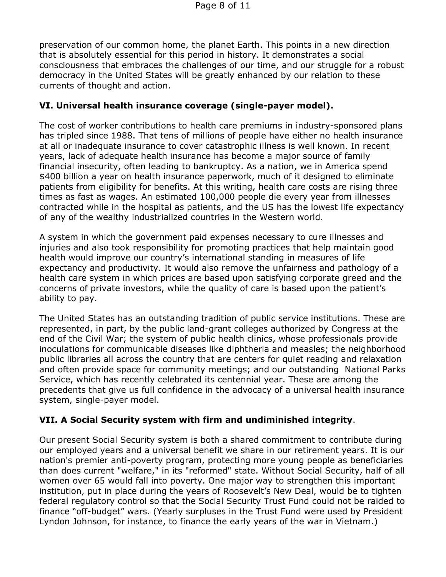preservation of our common home, the planet Earth. This points in a new direction that is absolutely essential for this period in history. It demonstrates a social consciousness that embraces the challenges of our time, and our struggle for a robust democracy in the United States will be greatly enhanced by our relation to these currents of thought and action.

# **VI. Universal health insurance coverage (single-payer model).**

The cost of worker contributions to health care premiums in industry-sponsored plans has tripled since 1988. That tens of millions of people have either no health insurance at all or inadequate insurance to cover catastrophic illness is well known. In recent years, lack of adequate health insurance has become a major source of family financial insecurity, often leading to bankruptcy. As a nation, we in America spend \$400 billion a year on health insurance paperwork, much of it designed to eliminate patients from eligibility for benefits. At this writing, health care costs are rising three times as fast as wages. An estimated 100,000 people die every year from illnesses contracted while in the hospital as patients, and the US has the lowest life expectancy of any of the wealthy industrialized countries in the Western world.

A system in which the government paid expenses necessary to cure illnesses and injuries and also took responsibility for promoting practices that help maintain good health would improve our country's international standing in measures of life expectancy and productivity. It would also remove the unfairness and pathology of a health care system in which prices are based upon satisfying corporate greed and the concerns of private investors, while the quality of care is based upon the patient's ability to pay.

The United States has an outstanding tradition of public service institutions. These are represented, in part, by the public land-grant colleges authorized by Congress at the end of the Civil War; the system of public health clinics, whose professionals provide inoculations for communicable diseases like diphtheria and measles; the neighborhood public libraries all across the country that are centers for quiet reading and relaxation and often provide space for community meetings; and our outstanding National Parks Service, which has recently celebrated its centennial year. These are among the precedents that give us full confidence in the advocacy of a universal health insurance system, single-payer model.

# **VII. A Social Security system with firm and undiminished integrity**.

Our present Social Security system is both a shared commitment to contribute during our employed years and a universal benefit we share in our retirement years. It is our nation's premier anti-poverty program, protecting more young people as beneficiaries than does current "welfare," in its "reformed" state. Without Social Security, half of all women over 65 would fall into poverty. One major way to strengthen this important institution, put in place during the years of Roosevelt's New Deal, would be to tighten federal regulatory control so that the Social Security Trust Fund could not be raided to finance "off-budget" wars. (Yearly surpluses in the Trust Fund were used by President Lyndon Johnson, for instance, to finance the early years of the war in Vietnam.)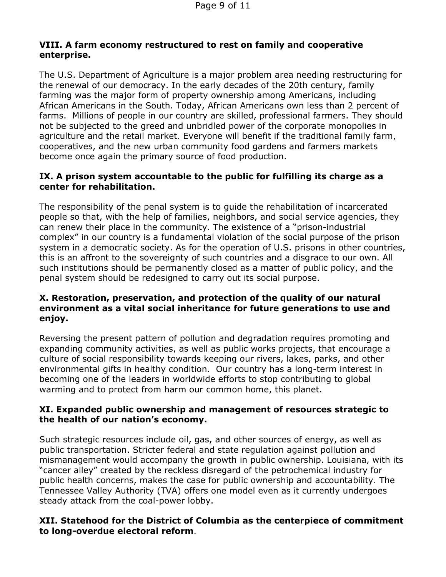## **VIII. A farm economy restructured to rest on family and cooperative enterprise.**

The U.S. Department of Agriculture is a major problem area needing restructuring for the renewal of our democracy. In the early decades of the 20th century, family farming was the major form of property ownership among Americans, including African Americans in the South. Today, African Americans own less than 2 percent of farms. Millions of people in our country are skilled, professional farmers. They should not be subjected to the greed and unbridled power of the corporate monopolies in agriculture and the retail market. Everyone will benefit if the traditional family farm, cooperatives, and the new urban community food gardens and farmers markets become once again the primary source of food production.

### **IX. A prison system accountable to the public for fulfilling its charge as a center for rehabilitation.**

The responsibility of the penal system is to guide the rehabilitation of incarcerated people so that, with the help of families, neighbors, and social service agencies, they can renew their place in the community. The existence of a "prison-industrial complex" in our country is a fundamental violation of the social purpose of the prison system in a democratic society. As for the operation of U.S. prisons in other countries, this is an affront to the sovereignty of such countries and a disgrace to our own. All such institutions should be permanently closed as a matter of public policy, and the penal system should be redesigned to carry out its social purpose.

## **X. Restoration, preservation, and protection of the quality of our natural environment as a vital social inheritance for future generations to use and enjoy.**

Reversing the present pattern of pollution and degradation requires promoting and expanding community activities, as well as public works projects, that encourage a culture of social responsibility towards keeping our rivers, lakes, parks, and other environmental gifts in healthy condition. Our country has a long-term interest in becoming one of the leaders in worldwide efforts to stop contributing to global warming and to protect from harm our common home, this planet.

### **XI. Expanded public ownership and management of resources strategic to the health of our nation's economy.**

Such strategic resources include oil, gas, and other sources of energy, as well as public transportation. Stricter federal and state regulation against pollution and mismanagement would accompany the growth in public ownership. Louisiana, with its "cancer alley" created by the reckless disregard of the petrochemical industry for public health concerns, makes the case for public ownership and accountability. The Tennessee Valley Authority (TVA) offers one model even as it currently undergoes steady attack from the coal-power lobby.

### **XII. Statehood for the District of Columbia as the centerpiece of commitment to long-overdue electoral reform**.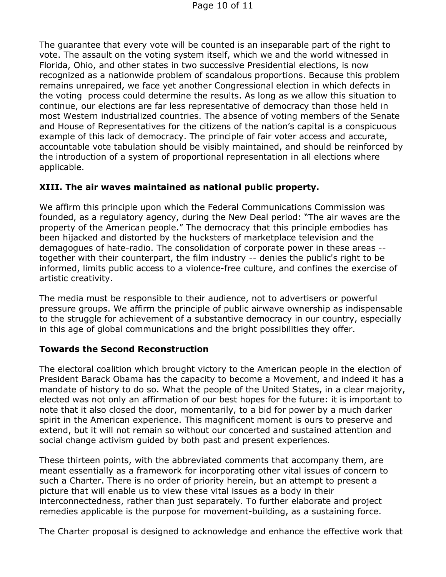The guarantee that every vote will be counted is an inseparable part of the right to vote. The assault on the voting system itself, which we and the world witnessed in Florida, Ohio, and other states in two successive Presidential elections, is now recognized as a nationwide problem of scandalous proportions. Because this problem remains unrepaired, we face yet another Congressional election in which defects in the voting process could determine the results. As long as we allow this situation to continue, our elections are far less representative of democracy than those held in most Western industrialized countries. The absence of voting members of the Senate and House of Representatives for the citizens of the nation's capital is a conspicuous example of this lack of democracy. The principle of fair voter access and accurate, accountable vote tabulation should be visibly maintained, and should be reinforced by the introduction of a system of proportional representation in all elections where applicable.

### **XIII. The air waves maintained as national public property.**

We affirm this principle upon which the Federal Communications Commission was founded, as a regulatory agency, during the New Deal period: "The air waves are the property of the American people." The democracy that this principle embodies has been hijacked and distorted by the hucksters of marketplace television and the demagogues of hate-radio. The consolidation of corporate power in these areas - together with their counterpart, the film industry -- denies the public's right to be informed, limits public access to a violence-free culture, and confines the exercise of artistic creativity.

The media must be responsible to their audience, not to advertisers or powerful pressure groups. We affirm the principle of public airwave ownership as indispensable to the struggle for achievement of a substantive democracy in our country, especially in this age of global communications and the bright possibilities they offer.

### **Towards the Second Reconstruction**

The electoral coalition which brought victory to the American people in the election of President Barack Obama has the capacity to become a Movement, and indeed it has a mandate of history to do so. What the people of the United States, in a clear majority, elected was not only an affirmation of our best hopes for the future: it is important to note that it also closed the door, momentarily, to a bid for power by a much darker spirit in the American experience. This magnificent moment is ours to preserve and extend, but it will not remain so without our concerted and sustained attention and social change activism guided by both past and present experiences.

These thirteen points, with the abbreviated comments that accompany them, are meant essentially as a framework for incorporating other vital issues of concern to such a Charter. There is no order of priority herein, but an attempt to present a picture that will enable us to view these vital issues as a body in their interconnectedness, rather than just separately. To further elaborate and project remedies applicable is the purpose for movement-building, as a sustaining force.

The Charter proposal is designed to acknowledge and enhance the effective work that